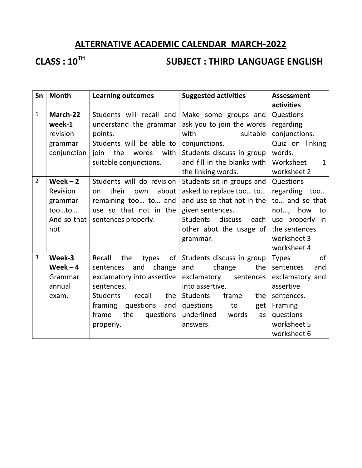## ALTERNATIVE ACADEMIC CALENDAR MARCH-2022

# CLASS : 10<sup>TH</sup> SUBJECT : THIRD LANGUAGE ENGLISH

| Sn             | <b>Month</b> | <b>Learning outcomes</b>         | <b>Suggested activities</b>        | <b>Assessment</b>         |
|----------------|--------------|----------------------------------|------------------------------------|---------------------------|
|                |              |                                  |                                    | activities                |
| $\mathbf{1}$   | March-22     | Students will recall and         | Make some groups and               | Questions                 |
|                | week-1       | understand the grammar           | ask you to join the words          | regarding                 |
|                | revision     | points.                          | with<br>suitable                   | conjunctions.             |
|                | grammar      | Students will be able to         | conjunctions.                      | Quiz on linking           |
|                | conjunction  | join the<br>words<br>with        | Students discuss in group          | words.                    |
|                |              | suitable conjunctions.           | and fill in the blanks with        | Worksheet<br>$\mathbf{1}$ |
|                |              |                                  | the linking words.                 | worksheet 2               |
| $\overline{2}$ | Week $-2$    | Students will do revision        | Students sit in groups and         | Questions                 |
|                | Revision     | their<br>about<br>own<br>on      | asked to replace too to            | regarding<br>too          |
|                | grammar      | remaining too to and             | and use so that not in the         | to and so that            |
|                | tooto        | use so that not in the           | given sentences.                   | not, how<br>to            |
|                | And so that  | sentences properly.              | discuss<br><b>Students</b><br>each | use properly in           |
|                | not          |                                  | other abot the usage of            | the sentences.            |
|                |              |                                  | grammar.                           | worksheet 3               |
|                |              |                                  |                                    | worksheet 4               |
| $\overline{3}$ | Week-3       | Recall<br>the<br>of<br>types     | Students discuss in group          | of<br><b>Types</b>        |
|                | Week $-4$    | and<br>change<br>sentences       | and<br>the<br>change               | sentences<br>and          |
|                | Grammar      | exclamatory into assertive       | exclamatory<br>sentences           | exclamatory and           |
|                | annual       | sentences.                       | into assertive.                    | assertive                 |
|                | exam.        | <b>Students</b><br>the<br>recall | Students<br>frame<br>the           | sentences.                |
|                |              | framing<br>questions<br>and      | questions<br>to<br>get             | Framing                   |
|                |              | the<br>frame<br>questions        | underlined<br>words<br>as          | questions                 |
|                |              | properly.                        | answers.                           | worksheet 5               |
|                |              |                                  |                                    | worksheet 6               |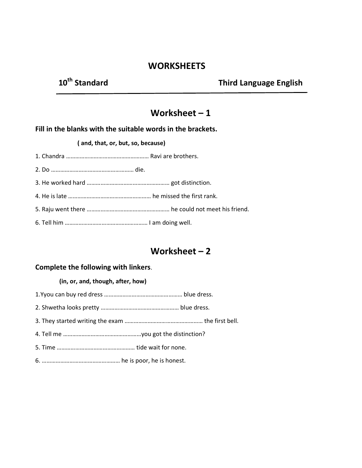## **WORKSHEETS**

## 10<sup>th</sup> Standard Third Language English

## Worksheet  $-1$

### Fill in the blanks with the suitable words in the brackets.

#### ( and, that, or, but, so, because)

- 1. Chandra ……………………………………………… Ravi are brothers.
- 2. Do ……………………………………………… die.
- 3. He worked hard ……………………………………………… got distinction.
- 4. He is late ……………………………………………… he missed the first rank.
- 5. Raju went there ……………………………………………… he could not meet his friend.
- 6. Tell him ……………………………………………… I am doing well.

## Worksheet – 2

#### Complete the following with linkers.

#### (in, or, and, though, after, how)

- 1.Yyou can buy red dress …………………………………………… blue dress.
- 2. Shwetha looks pretty …………………………………………… blue dress.
- 3. They started writing the exam …………………………………………… the first bell.
- 4. Tell me ……………………………………………you got the distinction?
- 5. Time …………………………………………… tide wait for none.
- 6. …………………………………………… he is poor, he is honest.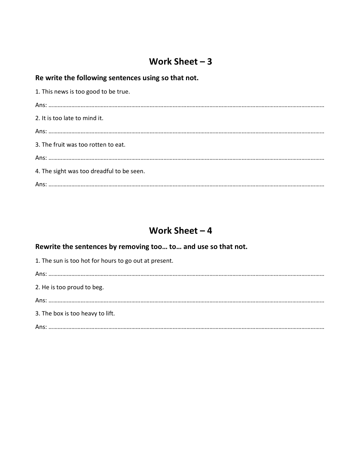## Work Sheet – 3

## Re write the following sentences using so that not.

| 1. This news is too good to be true.      |
|-------------------------------------------|
|                                           |
| 2. It is too late to mind it.             |
|                                           |
| 3. The fruit was too rotten to eat.       |
|                                           |
| 4. The sight was too dreadful to be seen. |
|                                           |

## Work Sheet – 4

## Rewrite the sentences by removing too… to… and use so that not.

| 1. The sun is too hot for hours to go out at present. |
|-------------------------------------------------------|
|                                                       |
| 2. He is too proud to beg.                            |
|                                                       |
| 3. The box is too heavy to lift.                      |
|                                                       |